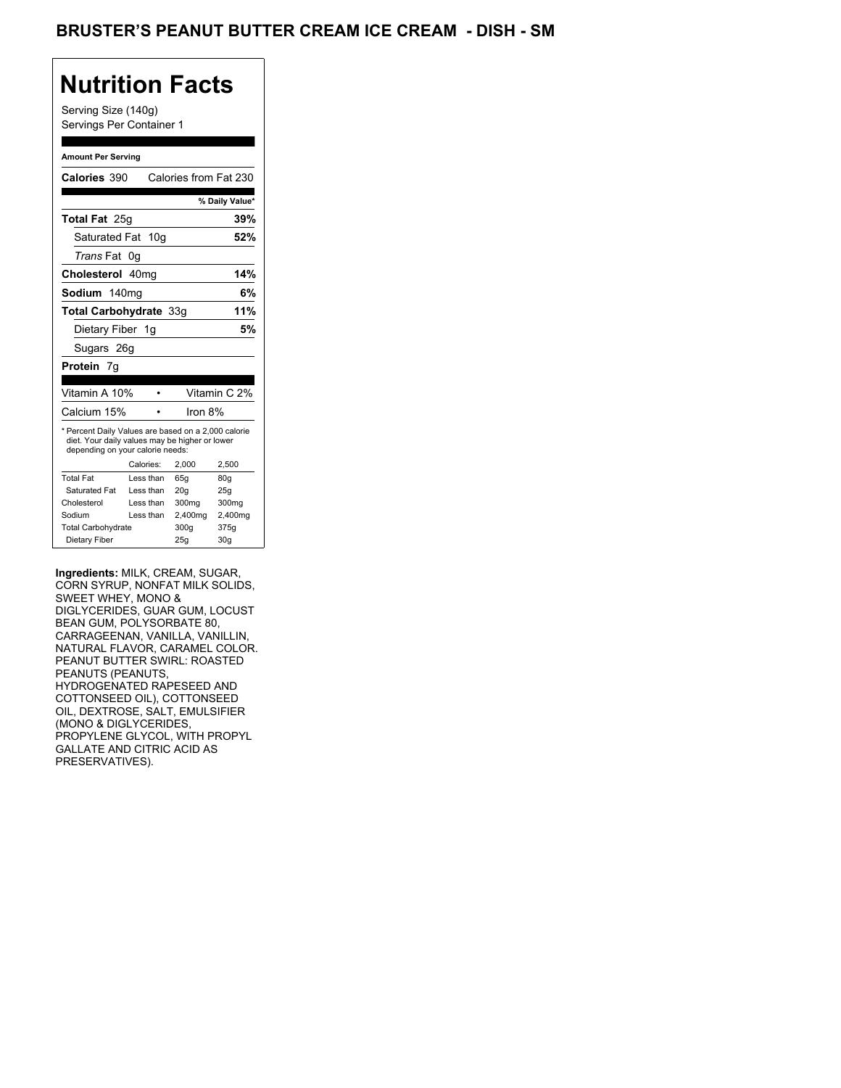## **Nutrition Facts**

Serving Size (140g) Servings Per Container 1

#### **Amount Per Serving**

| Calories 390                                                                                                                              |           | Calories from Fat 230 |                 |
|-------------------------------------------------------------------------------------------------------------------------------------------|-----------|-----------------------|-----------------|
|                                                                                                                                           |           |                       | % Daily Value*  |
| <b>Total Fat</b> 25g                                                                                                                      |           |                       | 39%             |
| Saturated Fat 10g                                                                                                                         |           |                       | 52%             |
| <i>Trans</i> Fat                                                                                                                          | 0g        |                       |                 |
| Cholesterol 40mg                                                                                                                          |           |                       | 14%             |
| Sodium 140mg                                                                                                                              |           |                       | 6%              |
| Total Carbohydrate 33q                                                                                                                    |           |                       | 11%             |
| Dietary Fiber 1g                                                                                                                          |           |                       | 5%              |
| Sugars 26g                                                                                                                                |           |                       |                 |
| <b>Protein</b> 7g                                                                                                                         |           |                       |                 |
|                                                                                                                                           |           |                       |                 |
| Vitamin A 10%                                                                                                                             |           |                       | Vitamin C 2%    |
| Calcium 15%                                                                                                                               |           | Iron 8%               |                 |
| * Percent Daily Values are based on a 2,000 calorie<br>diet. Your daily values may be higher or lower<br>depending on your calorie needs: |           |                       |                 |
|                                                                                                                                           | Calories: | 2.000                 | 2,500           |
| <b>Total Fat</b>                                                                                                                          | Less than | 65q                   | 80g             |
| Saturated Fat                                                                                                                             | Less than | 20q                   | 25q             |
| Cholesterol                                                                                                                               | Less than | 300 <sub>mq</sub>     | 300mg           |
| Sodium                                                                                                                                    | Less than | 2,400mg               | 2,400mg         |
| <b>Total Carbohydrate</b>                                                                                                                 |           | 300q                  | 375g            |
| Dietary Fiber                                                                                                                             |           | 25g                   | 30 <sub>g</sub> |

**Ingredients:** MILK, CREAM, SUGAR, CORN SYRUP, NONFAT MILK SOLIDS, SWEET WHEY, MONO & DIGLYCERIDES, GUAR GUM, LOCUST BEAN GUM, POLYSORBATE 80, CARRAGEENAN, VANILLA, VANILLIN, NATURAL FLAVOR, CARAMEL COLOR. PEANUT BUTTER SWIRL: ROASTED PEANUTS (PEANUTS, HYDROGENATED RAPESEED AND COTTONSEED OIL), COTTONSEED OIL, DEXTROSE, SALT, EMULSIFIER (MONO & DIGLYCERIDES, PROPYLENE GLYCOL, WITH PROPYL GALLATE AND CITRIC ACID AS PRESERVATIVES).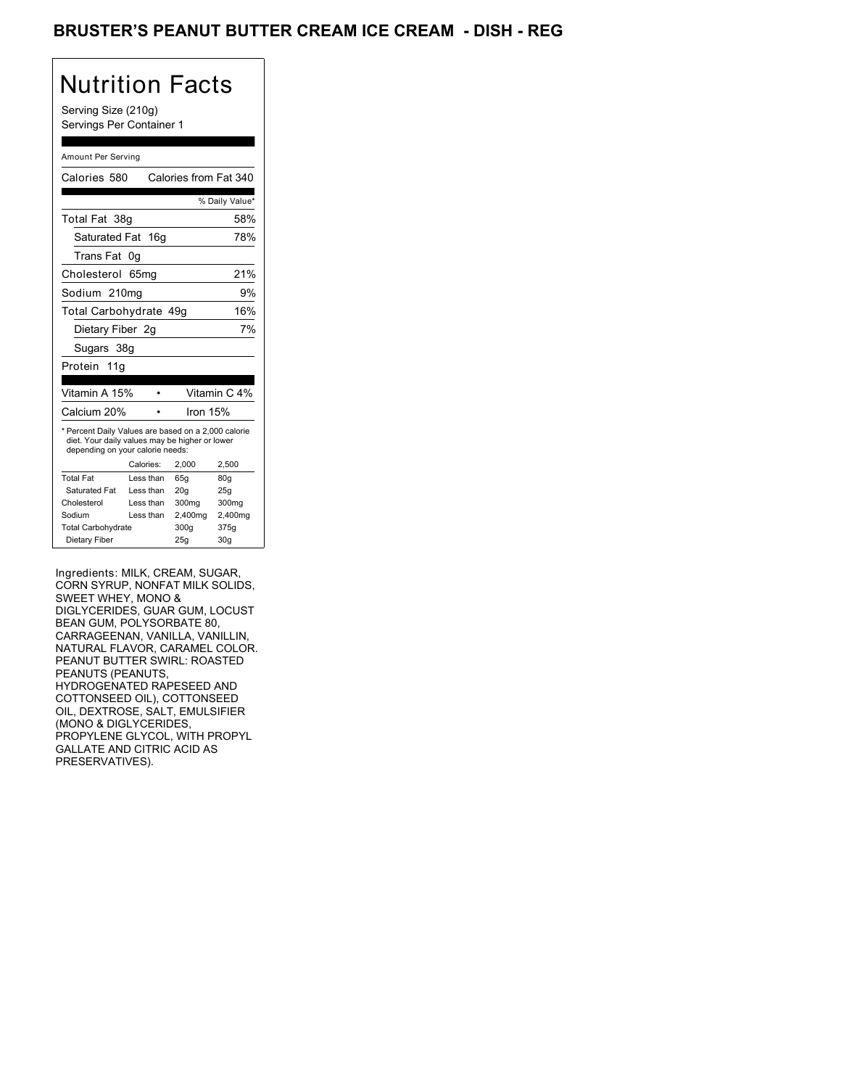### BRUSTER'S PEANUT BUTTER CREAM ICE CREAM - DISH - REG

# Nutrition Facts

Serving Size (210g) Servings Per Container 1

#### Amount Per Serving

| Calories 580                                                                                                                              |           | Calories from Fat 340 |                |
|-------------------------------------------------------------------------------------------------------------------------------------------|-----------|-----------------------|----------------|
|                                                                                                                                           |           |                       | % Daily Value* |
| Total Fat 38g                                                                                                                             |           |                       | 58%            |
| Saturated Fat 16g                                                                                                                         |           |                       | 78%            |
| Trans Fat                                                                                                                                 | 0g        |                       |                |
| Cholesterol                                                                                                                               | 65mg      |                       | 21%            |
| Sodium 210mg                                                                                                                              |           |                       | 9%             |
| Total Carbohydrate 49q                                                                                                                    |           |                       | 16%            |
| Dietary Fiber 2q                                                                                                                          |           |                       | 7%             |
| Sugars 38g                                                                                                                                |           |                       |                |
| Protein<br>11a                                                                                                                            |           |                       |                |
|                                                                                                                                           |           |                       |                |
| Vitamin A 15%                                                                                                                             |           |                       | Vitamin C 4%   |
| Calcium 20%                                                                                                                               |           | Iron 15%              |                |
| * Percent Daily Values are based on a 2,000 calorie<br>diet. Your daily values may be higher or lower<br>depending on your calorie needs: |           |                       |                |
|                                                                                                                                           | Calories: | 2,000                 | 2,500          |
| <b>Total Fat</b>                                                                                                                          | Less than | 65g                   | 80g            |
| Saturated Fat                                                                                                                             | Less than | 20q                   | 25g            |
| Cholesterol                                                                                                                               | Less than | 300 <sub>mq</sub>     | 300mg          |
| Sodium                                                                                                                                    | Less than | 2,400mg               | 2,400mg        |
| <b>Total Carbohydrate</b>                                                                                                                 |           | 300q                  | 375g           |

Ingredients: MILK, CREAM, SUGAR, CORN SYRUP, NONFAT MILK SOLIDS, SWEET WHEY, MONO & DIGLYCERIDES, GUAR GUM, LOCUST BEAN GUM, POLYSORBATE 80, CARRAGEENAN, VANILLA, VANILLIN, NATURAL FLAVOR, CARAMEL COLOR. PEANUT BUTTER SWIRL: ROASTED PEANUTS (PEANUTS, HYDROGENATED RAPESEED AND COTTONSEED OIL), COTTONSEED OIL, DEXTROSE, SALT, EMULSIFIER (MONO & DIGLYCERIDES, PROPYLENE GLYCOL, WITH PROPYL GALLATE AND CITRIC ACID AS PRESERVATIVES).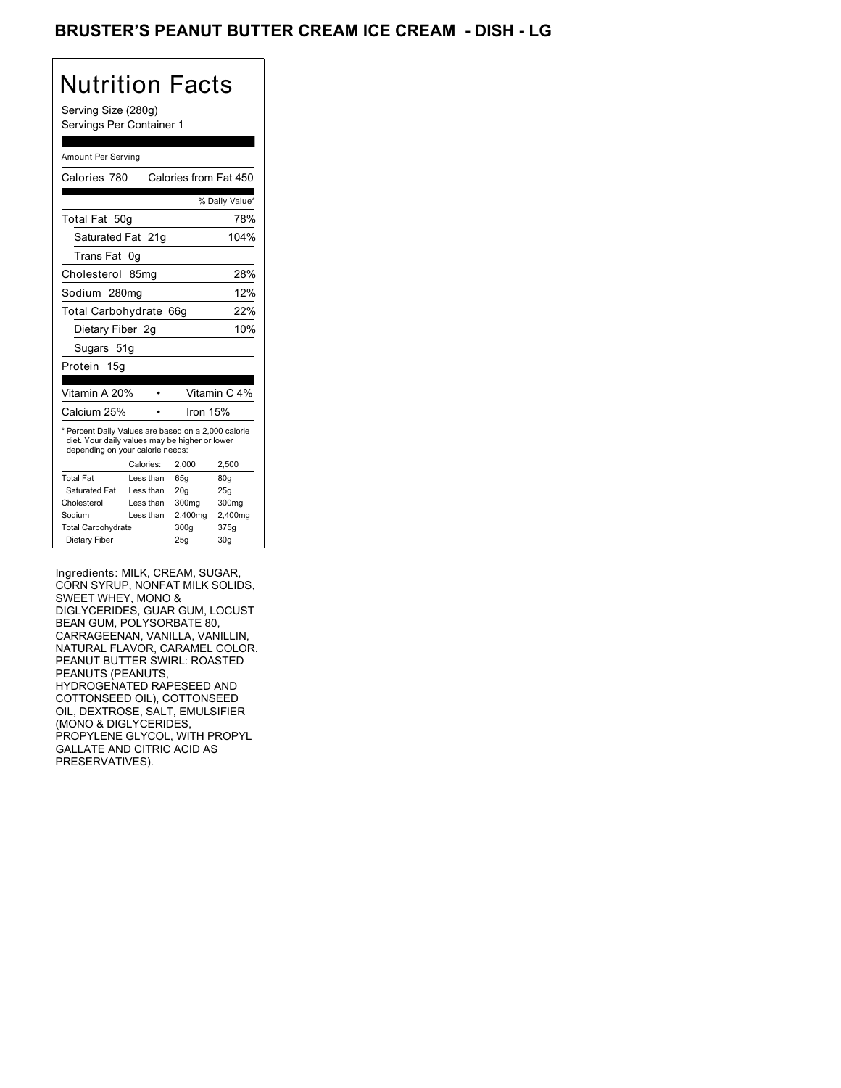### BRUSTER'S PEANUT BUTTER CREAM ICE CREAM - DISH - LG

## Nutrition Facts

Serving Size (280g) Servings Per Container 1

#### Amount Per Serving

| Calories 780                                                                                                                              |                  | Calories from Fat 450 |                 |
|-------------------------------------------------------------------------------------------------------------------------------------------|------------------|-----------------------|-----------------|
|                                                                                                                                           |                  |                       | % Daily Value*  |
| Total Fat 50g                                                                                                                             |                  |                       | 78%             |
| Saturated Fat 21g                                                                                                                         |                  |                       | 104%            |
| Trans Fat                                                                                                                                 | 0g               |                       |                 |
| Cholesterol                                                                                                                               | 85 <sub>mq</sub> |                       | 28%             |
| Sodium 280mg                                                                                                                              |                  |                       | 12%             |
| Total Carbohydrate 66q                                                                                                                    |                  |                       | 22%             |
| Dietary Fiber 2q                                                                                                                          |                  |                       | 10%             |
| Sugars 51g                                                                                                                                |                  |                       |                 |
| Protein 15g                                                                                                                               |                  |                       |                 |
|                                                                                                                                           |                  |                       |                 |
| Vitamin A 20%                                                                                                                             |                  |                       | Vitamin C 4%    |
| Calcium 25%                                                                                                                               |                  | Iron $15%$            |                 |
| * Percent Daily Values are based on a 2,000 calorie<br>diet. Your daily values may be higher or lower<br>depending on your calorie needs: |                  |                       |                 |
|                                                                                                                                           | Calories:        | 2,000                 | 2,500           |
| <b>Total Fat</b>                                                                                                                          | Less than        | 65q                   | 80g             |
| Saturated Fat                                                                                                                             | Less than        | 20q                   | 25q             |
| Cholesterol                                                                                                                               | Less than        | 300 <sub>mq</sub>     | 300mg           |
| Sodium                                                                                                                                    | Less than        | 2,400mg               | 2,400mg         |
| <b>Total Carbohydrate</b>                                                                                                                 |                  | 300q                  | 375g            |
| Dietary Fiber                                                                                                                             |                  | 25g                   | 30 <sub>g</sub> |

Ingredients: MILK, CREAM, SUGAR, CORN SYRUP, NONFAT MILK SOLIDS, SWEET WHEY, MONO & DIGLYCERIDES, GUAR GUM, LOCUST BEAN GUM, POLYSORBATE 80, CARRAGEENAN, VANILLA, VANILLIN, NATURAL FLAVOR, CARAMEL COLOR. PEANUT BUTTER SWIRL: ROASTED PEANUTS (PEANUTS, HYDROGENATED RAPESEED AND COTTONSEED OIL), COTTONSEED OIL, DEXTROSE, SALT, EMULSIFIER (MONO & DIGLYCERIDES, PROPYLENE GLYCOL, WITH PROPYL GALLATE AND CITRIC ACID AS PRESERVATIVES).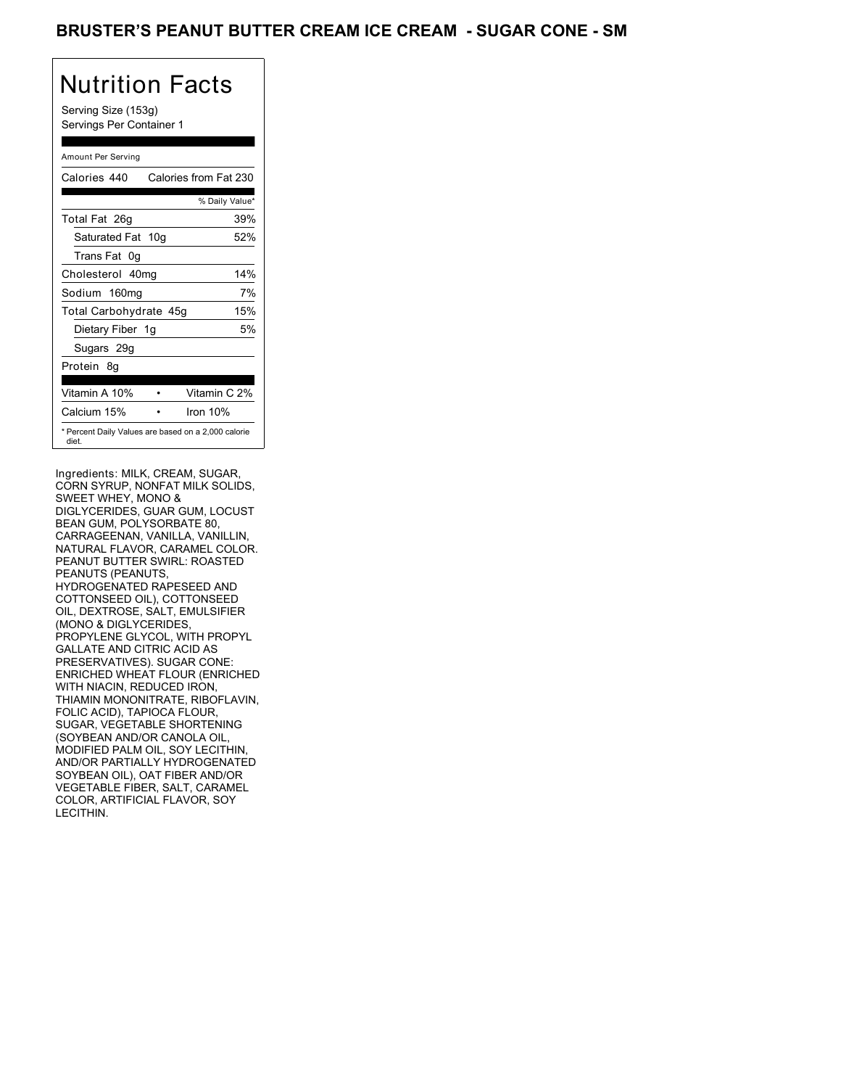### BRUSTER'S PEANUT BUTTER CREAM ICE CREAM - SUGAR CONE - SM

## Nutrition Facts

Serving Size (153g) Servings Per Container 1

#### Amount Per Serving

| Calories 440                                                 | Calories from Fat 230 |
|--------------------------------------------------------------|-----------------------|
|                                                              | % Daily Value*        |
| Total Fat 26g                                                | 39%                   |
| Saturated Fat 10g                                            | 52%                   |
| Trans Fat 0q                                                 |                       |
| Cholesterol 40mg                                             | 14%                   |
| Sodium 160mg                                                 | 7%                    |
| Total Carbohydrate 45g                                       | 15%                   |
| Dietary Fiber 1g                                             | 5%                    |
| Sugars 29g                                                   |                       |
| Protein 8q                                                   |                       |
| Vitamin A 10%                                                | Vitamin C 2%          |
| Calcium 15%                                                  | Iron $10%$            |
| * Percent Daily Values are based on a 2,000 calorie<br>diet. |                       |

Ingredients: MILK, CREAM, SUGAR, CORN SYRUP, NONFAT MILK SOLIDS, SWEET WHEY, MONO & DIGLYCERIDES, GUAR GUM, LOCUST BEAN GUM, POLYSORBATE 80, CARRAGEENAN, VANILLA, VANILLIN, NATURAL FLAVOR, CARAMEL COLOR. PEANUT BUTTER SWIRL: ROASTED PEANUTS (PEANUTS, HYDROGENATED RAPESEED AND COTTONSEED OIL), COTTONSEED OIL, DEXTROSE, SALT, EMULSIFIER (MONO & DIGLYCERIDES, PROPYLENE GLYCOL, WITH PROPYL GALLATE AND CITRIC ACID AS PRESERVATIVES). SUGAR CONE: ENRICHED WHEAT FLOUR (ENRICHED WITH NIACIN, REDUCED IRON, THIAMIN MONONITRATE, RIBOFLAVIN, FOLIC ACID), TAPIOCA FLOUR, SUGAR, VEGETABLE SHORTENING (SOYBEAN AND/OR CANOLA OIL, MODIFIED PALM OIL, SOY LECITHIN, AND/OR PARTIALLY HYDROGENATED SOYBEAN OIL), OAT FIBER AND/OR VEGETABLE FIBER, SALT, CARAMEL COLOR, ARTIFICIAL FLAVOR, SOY LECITHIN.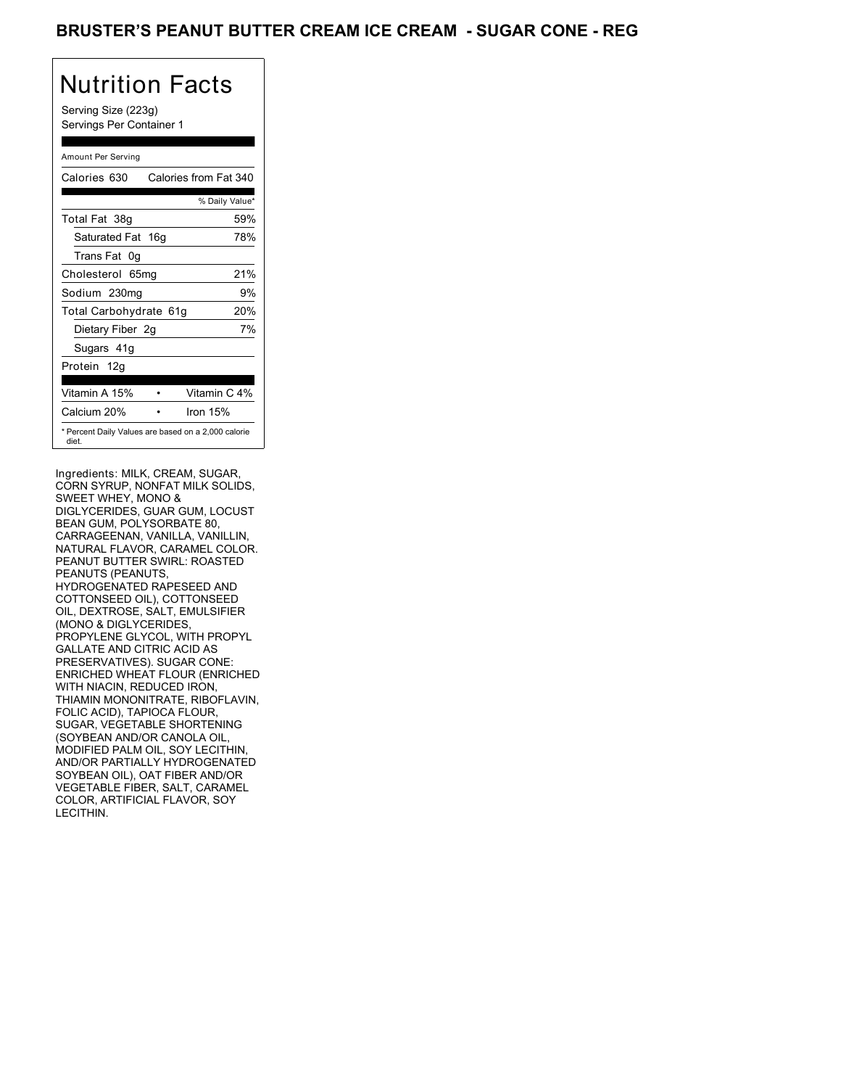### BRUSTER'S PEANUT BUTTER CREAM ICE CREAM - SUGAR CONE - REG

## Nutrition Facts

Serving Size (223g) Servings Per Container 1

#### Amount Per Serving

| Calories 630                                                 | Calories from Fat 340 |
|--------------------------------------------------------------|-----------------------|
|                                                              | % Daily Value*        |
| Total Fat 38g                                                | 59%                   |
| Saturated Fat 16g                                            | 78%                   |
| Trans Fat 0q                                                 |                       |
| Cholesterol 65mg                                             | 21%                   |
| Sodium 230mg                                                 | 9%                    |
| Total Carbohydrate 61g                                       | 20%                   |
| Dietary Fiber 2g                                             | 7%                    |
| Sugars 41g                                                   |                       |
| Protein 12g                                                  |                       |
| Vitamin A 15%                                                | Vitamin C 4%          |
| Calcium 20%                                                  | Iron 15%              |
| * Percent Daily Values are based on a 2,000 calorie<br>diet. |                       |

Ingredients: MILK, CREAM, SUGAR, CORN SYRUP, NONFAT MILK SOLIDS, SWEET WHEY, MONO & DIGLYCERIDES, GUAR GUM, LOCUST BEAN GUM, POLYSORBATE 80, CARRAGEENAN, VANILLA, VANILLIN, NATURAL FLAVOR, CARAMEL COLOR. PEANUT BUTTER SWIRL: ROASTED PEANUTS (PEANUTS, HYDROGENATED RAPESEED AND COTTONSEED OIL), COTTONSEED OIL, DEXTROSE, SALT, EMULSIFIER (MONO & DIGLYCERIDES, PROPYLENE GLYCOL, WITH PROPYL GALLATE AND CITRIC ACID AS PRESERVATIVES). SUGAR CONE: ENRICHED WHEAT FLOUR (ENRICHED WITH NIACIN, REDUCED IRON, THIAMIN MONONITRATE, RIBOFLAVIN, FOLIC ACID), TAPIOCA FLOUR, SUGAR, VEGETABLE SHORTENING (SOYBEAN AND/OR CANOLA OIL, MODIFIED PALM OIL, SOY LECITHIN, AND/OR PARTIALLY HYDROGENATED SOYBEAN OIL), OAT FIBER AND/OR VEGETABLE FIBER, SALT, CARAMEL COLOR, ARTIFICIAL FLAVOR, SOY LECITHIN.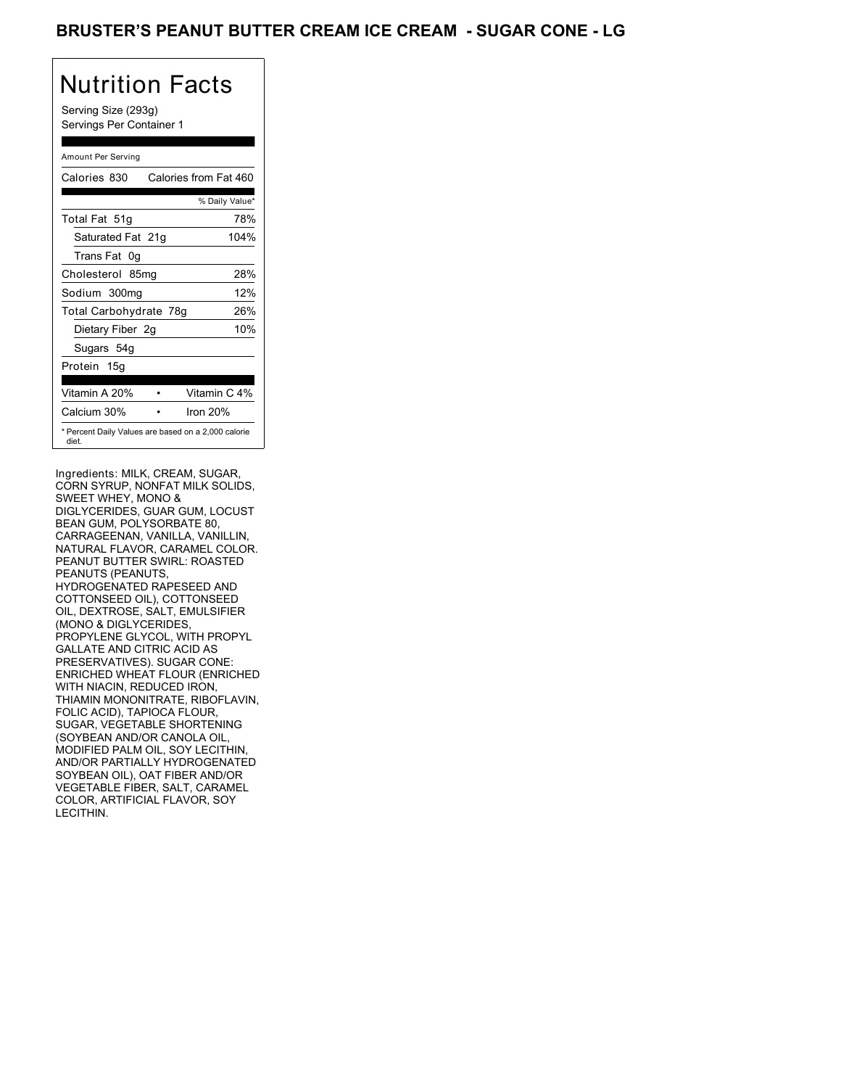### BRUSTER'S PEANUT BUTTER CREAM ICE CREAM - SUGAR CONE - LG

## Nutrition Facts

Serving Size (293g) Servings Per Container 1

#### Amount Per Serving

| Calories 830           | Calories from Fat 460                               |
|------------------------|-----------------------------------------------------|
|                        | % Daily Value*                                      |
| Total Fat 51g          | 78%                                                 |
| Saturated Fat 21g      | 104%                                                |
| Trans Fat 0q           |                                                     |
| Cholesterol 85mg       | 28%                                                 |
| Sodium 300mg           | 12%                                                 |
| Total Carbohydrate 78g | 26%                                                 |
| Dietary Fiber 2g       | 10%                                                 |
| Sugars 54g             |                                                     |
| Protein 15g            |                                                     |
| Vitamin A 20%          | Vitamin C 4%                                        |
| Calcium 30%            | Iron 20%                                            |
| diet.                  | * Percent Daily Values are based on a 2,000 calorie |

Ingredients: MILK, CREAM, SUGAR, CORN SYRUP, NONFAT MILK SOLIDS, SWEET WHEY, MONO & DIGLYCERIDES, GUAR GUM, LOCUST BEAN GUM, POLYSORBATE 80, CARRAGEENAN, VANILLA, VANILLIN, NATURAL FLAVOR, CARAMEL COLOR. PEANUT BUTTER SWIRL: ROASTED PEANUTS (PEANUTS, HYDROGENATED RAPESEED AND COTTONSEED OIL), COTTONSEED OIL, DEXTROSE, SALT, EMULSIFIER (MONO & DIGLYCERIDES, PROPYLENE GLYCOL, WITH PROPYL GALLATE AND CITRIC ACID AS PRESERVATIVES). SUGAR CONE: ENRICHED WHEAT FLOUR (ENRICHED WITH NIACIN, REDUCED IRON, THIAMIN MONONITRATE, RIBOFLAVIN, FOLIC ACID), TAPIOCA FLOUR, SUGAR, VEGETABLE SHORTENING (SOYBEAN AND/OR CANOLA OIL, MODIFIED PALM OIL, SOY LECITHIN, AND/OR PARTIALLY HYDROGENATED SOYBEAN OIL), OAT FIBER AND/OR VEGETABLE FIBER, SALT, CARAMEL COLOR, ARTIFICIAL FLAVOR, SOY LECITHIN.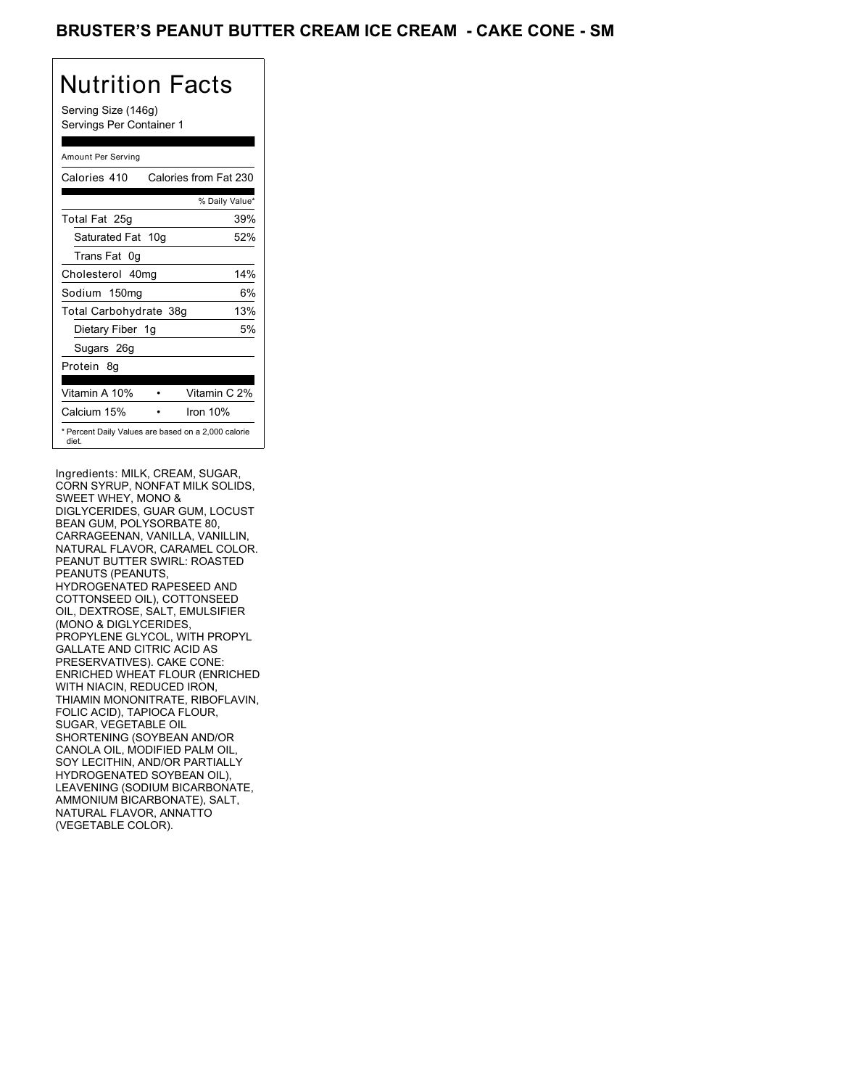### BRUSTER'S PEANUT BUTTER CREAM ICE CREAM - CAKE CONE - SM

## Nutrition Facts

Serving Size (146g) Servings Per Container 1

#### Amount Per Serving

| Calories 410                                                 | Calories from Fat 230 |
|--------------------------------------------------------------|-----------------------|
|                                                              | % Daily Value*        |
| Total Fat 25g                                                | 39%                   |
| Saturated Fat 10g                                            | 52%                   |
| Trans Fat 0q                                                 |                       |
| Cholesterol 40mg                                             | 14%                   |
| Sodium 150mg                                                 | 6%                    |
| Total Carbohydrate 38g                                       | 13%                   |
| Dietary Fiber 1g                                             | 5%                    |
| Sugars 26g                                                   |                       |
| Protein 8q                                                   |                       |
| Vitamin A 10%                                                | Vitamin C 2%          |
| Calcium 15%                                                  | Iron $10%$            |
| * Percent Daily Values are based on a 2,000 calorie<br>diet. |                       |

Ingredients: MILK, CREAM, SUGAR, CORN SYRUP, NONFAT MILK SOLIDS, SWEET WHEY, MONO & DIGLYCERIDES, GUAR GUM, LOCUST BEAN GUM, POLYSORBATE 80, CARRAGEENAN, VANILLA, VANILLIN, NATURAL FLAVOR, CARAMEL COLOR. PEANUT BUTTER SWIRL: ROASTED PEANUTS (PEANUTS, HYDROGENATED RAPESEED AND COTTONSEED OIL), COTTONSEED OIL, DEXTROSE, SALT, EMULSIFIER (MONO & DIGLYCERIDES, PROPYLENE GLYCOL, WITH PROPYL GALLATE AND CITRIC ACID AS PRESERVATIVES). CAKE CONE: ENRICHED WHEAT FLOUR (ENRICHED WITH NIACIN, REDUCED IRON, THIAMIN MONONITRATE, RIBOFLAVIN, FOLIC ACID), TAPIOCA FLOUR, SUGAR, VEGETABLE OIL SHORTENING (SOYBEAN AND/OR CANOLA OIL, MODIFIED PALM OIL, SOY LECITHIN, AND/OR PARTIALLY HYDROGENATED SOYBEAN OIL), LEAVENING (SODIUM BICARBONATE, AMMONIUM BICARBONATE), SALT, NATURAL FLAVOR, ANNATTO (VEGETABLE COLOR).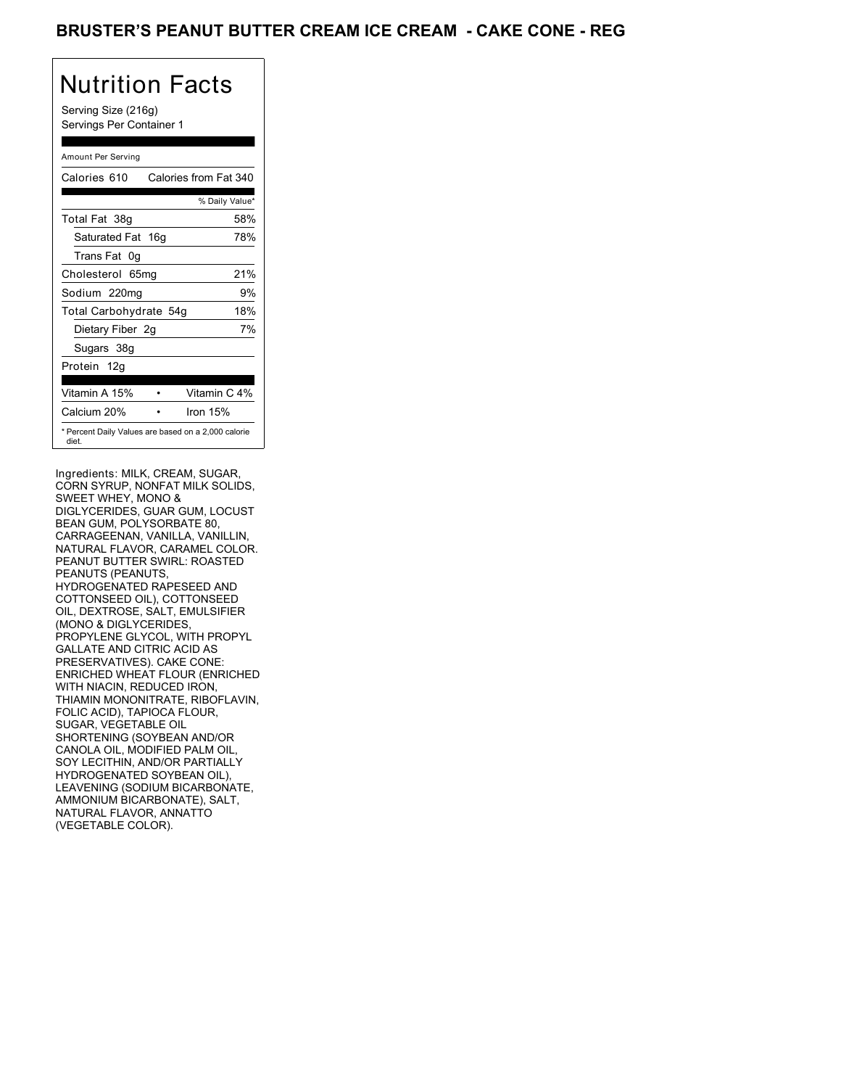### BRUSTER'S PEANUT BUTTER CREAM ICE CREAM - CAKE CONE - REG

## Nutrition Facts

Serving Size (216g) Servings Per Container 1

#### Amount Per Serving

| Calories 610                                                 | Calories from Fat 340 |
|--------------------------------------------------------------|-----------------------|
|                                                              | % Daily Value*        |
| Total Fat 38g                                                | 58%                   |
| Saturated Fat 16g                                            | 78%                   |
| Trans Fat 0q                                                 |                       |
| Cholesterol 65mg                                             | 21%                   |
| Sodium 220mg                                                 | 9%                    |
| Total Carbohydrate 54g                                       | 18%                   |
| Dietary Fiber 2g                                             | 7%                    |
| Sugars 38g                                                   |                       |
| Protein 12g                                                  |                       |
| Vitamin A 15%                                                | Vitamin C 4%          |
| Calcium 20%                                                  | Iron $15%$            |
| * Percent Daily Values are based on a 2,000 calorie<br>diet. |                       |

Ingredients: MILK, CREAM, SUGAR, CORN SYRUP, NONFAT MILK SOLIDS, SWEET WHEY, MONO & DIGLYCERIDES, GUAR GUM, LOCUST BEAN GUM, POLYSORBATE 80, CARRAGEENAN, VANILLA, VANILLIN, NATURAL FLAVOR, CARAMEL COLOR. PEANUT BUTTER SWIRL: ROASTED PEANUTS (PEANUTS, HYDROGENATED RAPESEED AND COTTONSEED OIL), COTTONSEED OIL, DEXTROSE, SALT, EMULSIFIER (MONO & DIGLYCERIDES, PROPYLENE GLYCOL, WITH PROPYL GALLATE AND CITRIC ACID AS PRESERVATIVES). CAKE CONE: ENRICHED WHEAT FLOUR (ENRICHED WITH NIACIN, REDUCED IRON, THIAMIN MONONITRATE, RIBOFLAVIN, FOLIC ACID), TAPIOCA FLOUR, SUGAR, VEGETABLE OIL SHORTENING (SOYBEAN AND/OR CANOLA OIL, MODIFIED PALM OIL, SOY LECITHIN, AND/OR PARTIALLY HYDROGENATED SOYBEAN OIL), LEAVENING (SODIUM BICARBONATE, AMMONIUM BICARBONATE), SALT, NATURAL FLAVOR, ANNATTO (VEGETABLE COLOR).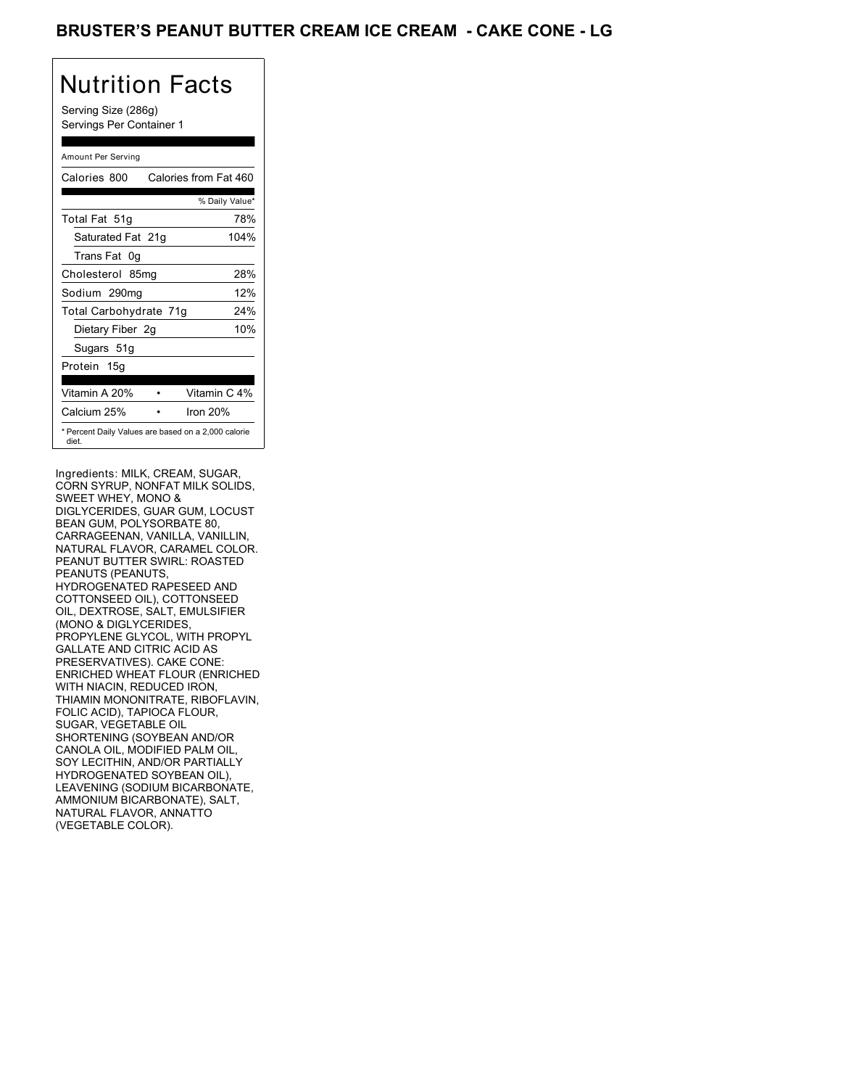### BRUSTER'S PEANUT BUTTER CREAM ICE CREAM - CAKE CONE - LG

## Nutrition Facts

Serving Size (286g) Servings Per Container 1

#### Amount Per Serving

| Calories 800           | Calories from Fat 460                               |
|------------------------|-----------------------------------------------------|
|                        | % Daily Value*                                      |
| Total Fat 51g          | 78%                                                 |
| Saturated Fat 21g      | 104%                                                |
| Trans Fat 0q           |                                                     |
| Cholesterol 85mg       | 28%                                                 |
| Sodium 290mg           | 12%                                                 |
| Total Carbohydrate 71g | 24%                                                 |
| Dietary Fiber 2g       | 10%                                                 |
| Sugars 51g             |                                                     |
| Protein 15g            |                                                     |
| Vitamin A 20%          | Vitamin C 4%                                        |
| Calcium 25%            | Iron 20%                                            |
| diet.                  | * Percent Daily Values are based on a 2,000 calorie |

Ingredients: MILK, CREAM, SUGAR, CORN SYRUP, NONFAT MILK SOLIDS, SWEET WHEY, MONO & DIGLYCERIDES, GUAR GUM, LOCUST BEAN GUM, POLYSORBATE 80, CARRAGEENAN, VANILLA, VANILLIN, NATURAL FLAVOR, CARAMEL COLOR. PEANUT BUTTER SWIRL: ROASTED PEANUTS (PEANUTS, HYDROGENATED RAPESEED AND COTTONSEED OIL), COTTONSEED OIL, DEXTROSE, SALT, EMULSIFIER (MONO & DIGLYCERIDES, PROPYLENE GLYCOL, WITH PROPYL GALLATE AND CITRIC ACID AS PRESERVATIVES). CAKE CONE: ENRICHED WHEAT FLOUR (ENRICHED WITH NIACIN, REDUCED IRON, THIAMIN MONONITRATE, RIBOFLAVIN, FOLIC ACID), TAPIOCA FLOUR, SUGAR, VEGETABLE OIL SHORTENING (SOYBEAN AND/OR CANOLA OIL, MODIFIED PALM OIL, SOY LECITHIN, AND/OR PARTIALLY HYDROGENATED SOYBEAN OIL), LEAVENING (SODIUM BICARBONATE, AMMONIUM BICARBONATE), SALT, NATURAL FLAVOR, ANNATTO (VEGETABLE COLOR).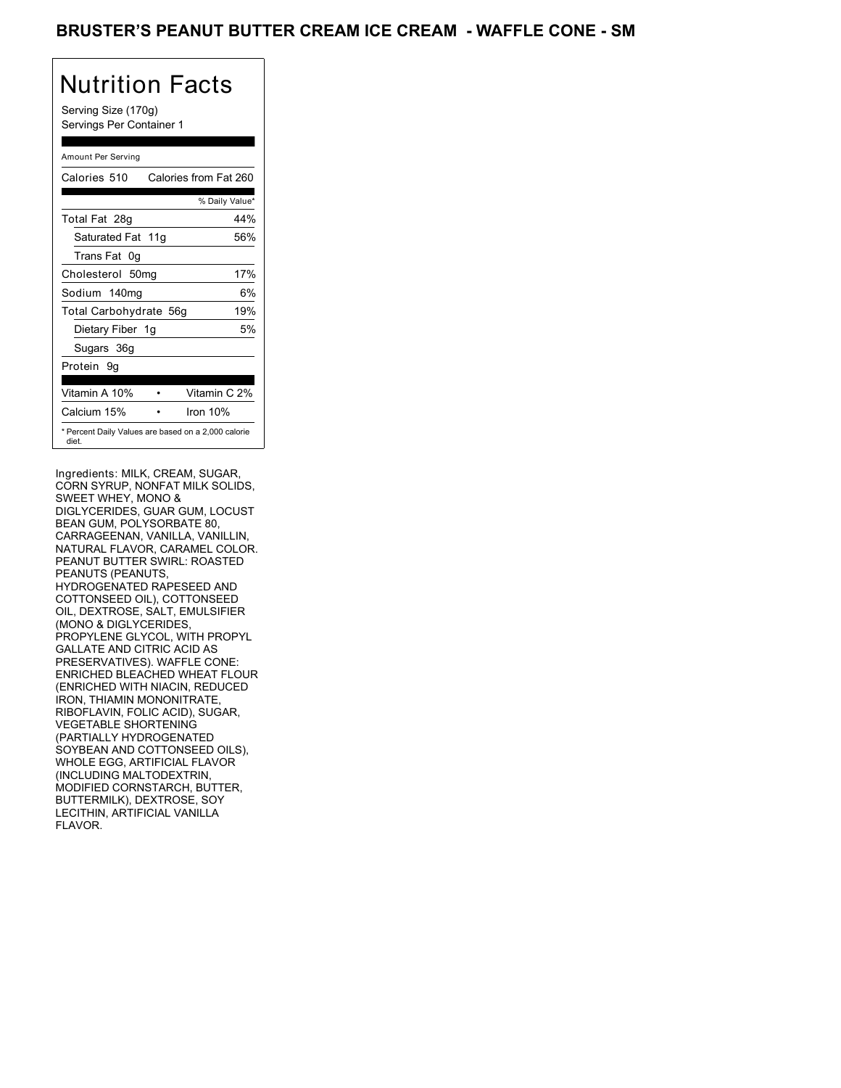### BRUSTER'S PEANUT BUTTER CREAM ICE CREAM - WAFFLE CONE - SM

## Nutrition Facts

Serving Size (170g) Servings Per Container 1

#### Amount Per Serving

| Calories 510                                                 | Calories from Fat 260 |
|--------------------------------------------------------------|-----------------------|
|                                                              | % Daily Value*        |
| Total Fat 28g                                                | 44%                   |
| Saturated Fat 11g                                            | 56%                   |
| Trans Fat 0q                                                 |                       |
| Cholesterol 50mg                                             | 17%                   |
| Sodium 140mg                                                 | 6%                    |
| Total Carbohydrate 56g                                       | 19%                   |
| Dietary Fiber 1g                                             | 5%                    |
| Sugars 36g                                                   |                       |
| Protein 9q                                                   |                       |
| Vitamin A 10%                                                | Vitamin C 2%          |
| Calcium 15%                                                  | Iron $10%$            |
| * Percent Daily Values are based on a 2,000 calorie<br>diet. |                       |

Ingredients: MILK, CREAM, SUGAR, CORN SYRUP, NONFAT MILK SOLIDS, SWEET WHEY, MONO & DIGLYCERIDES, GUAR GUM, LOCUST BEAN GUM, POLYSORBATE 80, CARRAGEENAN, VANILLA, VANILLIN, NATURAL FLAVOR, CARAMEL COLOR. PEANUT BUTTER SWIRL: ROASTED PEANUTS (PEANUTS, HYDROGENATED RAPESEED AND COTTONSEED OIL), COTTONSEED OIL, DEXTROSE, SALT, EMULSIFIER (MONO & DIGLYCERIDES, PROPYLENE GLYCOL, WITH PROPYL GALLATE AND CITRIC ACID AS PRESERVATIVES). WAFFLE CONE: ENRICHED BLEACHED WHEAT FLOUR (ENRICHED WITH NIACIN, REDUCED IRON, THIAMIN MONONITRATE, RIBOFLAVIN, FOLIC ACID), SUGAR, VEGETABLE SHORTENING (PARTIALLY HYDROGENATED SOYBEAN AND COTTONSEED OILS), WHOLE EGG, ARTIFICIAL FLAVOR (INCLUDING MALTODEXTRIN, MODIFIED CORNSTARCH, BUTTER, BUTTERMILK), DEXTROSE, SOY LECITHIN, ARTIFICIAL VANILLA FLAVOR.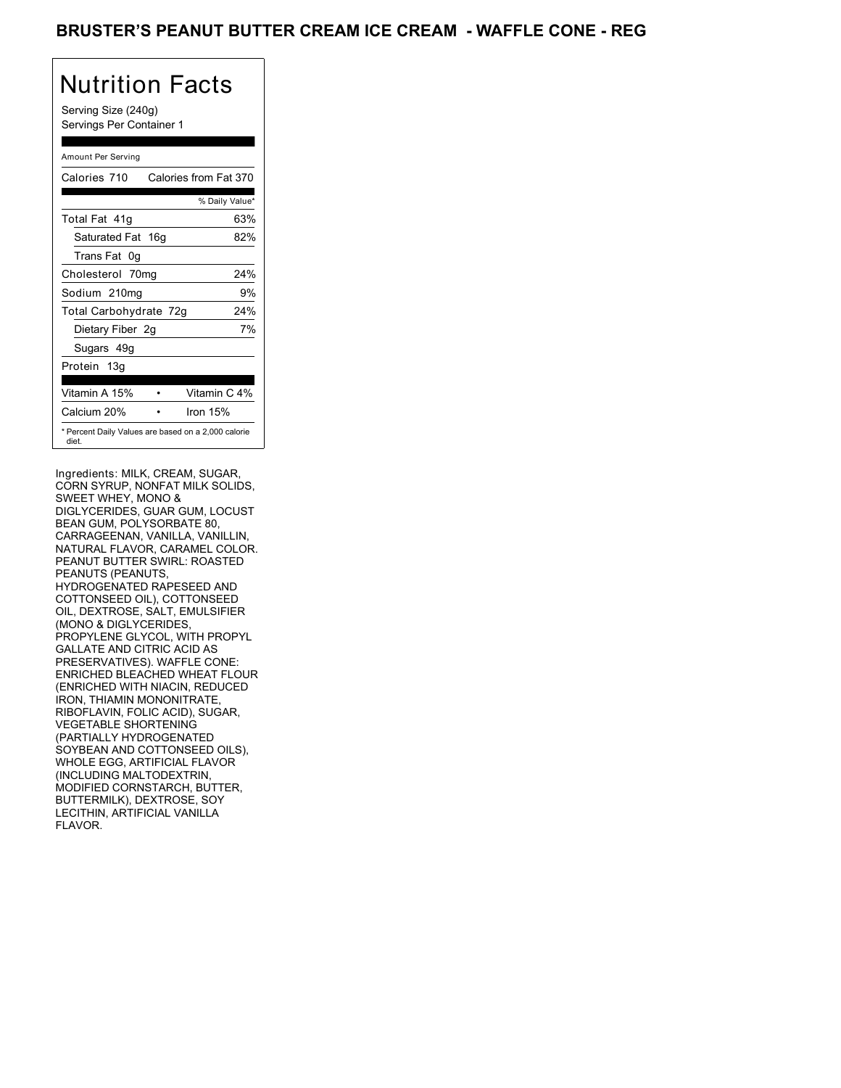### BRUSTER'S PEANUT BUTTER CREAM ICE CREAM - WAFFLE CONE - REG

## Nutrition Facts

Serving Size (240g) Servings Per Container 1

#### Amount Per Serving

| Calories 710           | Calories from Fat 370                               |
|------------------------|-----------------------------------------------------|
|                        | % Daily Value*                                      |
| Total Fat 41q          | 63%                                                 |
| Saturated Fat 16g      | 82%                                                 |
| Trans Fat 0q           |                                                     |
| Cholesterol 70mg       | 24%                                                 |
| Sodium 210mg           | 9%                                                  |
| Total Carbohydrate 72g | 24%                                                 |
| Dietary Fiber 2g       | 7%                                                  |
| Sugars 49g             |                                                     |
| Protein 13g            |                                                     |
|                        |                                                     |
| Vitamin A 15%          | Vitamin C 4%                                        |
| Calcium 20%            | Iron $15%$                                          |
| diet.                  | * Percent Daily Values are based on a 2,000 calorie |

Ingredients: MILK, CREAM, SUGAR, CORN SYRUP, NONFAT MILK SOLIDS, SWEET WHEY, MONO & DIGLYCERIDES, GUAR GUM, LOCUST BEAN GUM, POLYSORBATE 80, CARRAGEENAN, VANILLA, VANILLIN, NATURAL FLAVOR, CARAMEL COLOR. PEANUT BUTTER SWIRL: ROASTED PEANUTS (PEANUTS, HYDROGENATED RAPESEED AND COTTONSEED OIL), COTTONSEED OIL, DEXTROSE, SALT, EMULSIFIER (MONO & DIGLYCERIDES, PROPYLENE GLYCOL, WITH PROPYL GALLATE AND CITRIC ACID AS PRESERVATIVES). WAFFLE CONE: ENRICHED BLEACHED WHEAT FLOUR (ENRICHED WITH NIACIN, REDUCED IRON, THIAMIN MONONITRATE, RIBOFLAVIN, FOLIC ACID), SUGAR, VEGETABLE SHORTENING (PARTIALLY HYDROGENATED SOYBEAN AND COTTONSEED OILS), WHOLE EGG, ARTIFICIAL FLAVOR (INCLUDING MALTODEXTRIN, MODIFIED CORNSTARCH, BUTTER, BUTTERMILK), DEXTROSE, SOY LECITHIN, ARTIFICIAL VANILLA FLAVOR.